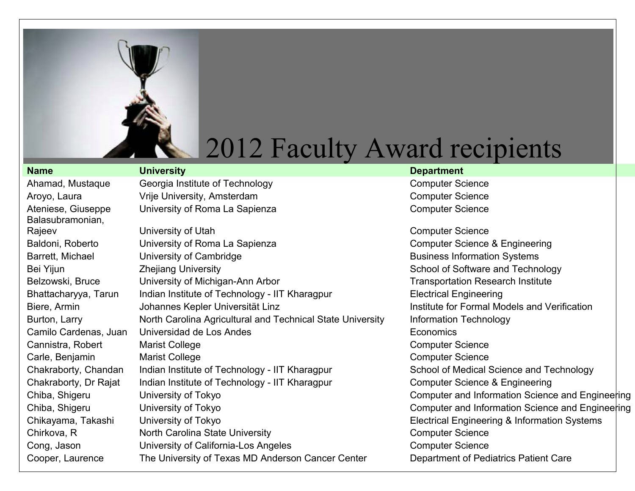

Balasubramonian,

Ahamad, Mustaque Georgia Institute of Technology Computer Science Aroyo, Laura Computer Science Vrije University, Amsterdam Computer Science Computer Science Ateniese, Giuseppe University of Roma La Sapienza Computer Science

Rajeev **Example 2018** University of Utah Computer Science Computer Science Baldoni, Roberto **Computer Computer Science & Engineering** Baldoni, Roberto Computer Science & Engineering Barrett, Michael **Exercise University of Cambridge** Business Information Systems Bei Yijun Zhejiang University School of Software and Technology Belzowski, Bruce University of Michigan-Ann Arbor Transportation Research Institute Bhattacharyya, Tarun Indian Institute of Technology - IIT Kharagpur Electrical Engineering Biere, Armin **State Communist Communist Communist Communist Communist Communist Communist Communist Communist Communist Communist Communist Communist Communist Communist Communist Communist Communist Communist Communist Co** Burton, Larry **North Carolina Agricultural and Technical State University** Information Technology Camilo Cardenas, Juan Universidad de Los Andes **Economics** Economics Cannistra, Robert Marist College Cannistra, Robert Computer Science Carle, Benjamin Marist College Carles Computer Science Chakraborty, Chandan Indian Institute of Technology - IIT Kharagpur School of Medical Science and Technology Chakraborty, Dr Rajat Indian Institute of Technology - IIT Kharagpur Computer Science & Engineering Chiba, Shigeru Chiba, Shigeru University of Tokyo Computer and Information Science and Engineering Chiba, Shigeru University of Tokyo Chiba, Shigeru University of Tokyo Computer and Information Science and Engineering Chikayama, Takashi University of Tokyo **Electrical Engineering & Information Systems** Chirkova, R **North Carolina State University** Chirkova, R Computer Science Cong, Jason **University of California-Los Angeles** Computer Science Computer Science Cooper, Laurence The University of Texas MD Anderson Cancer Center Department of Pediatrics Patient Care

#### **Name University Department**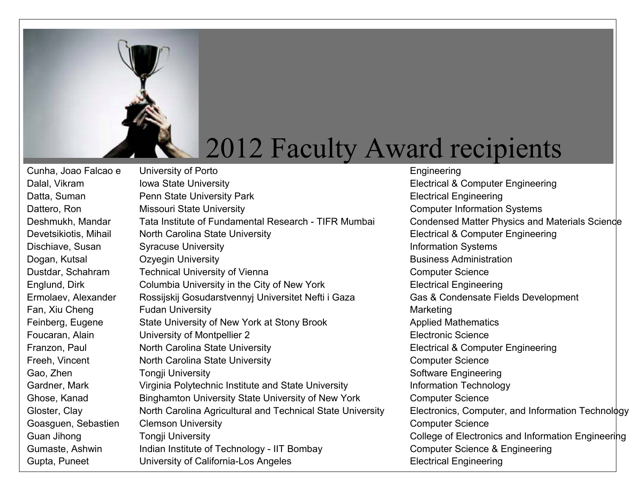

Dalal, Vikram Iowa State University **Internal and Computer Engineering** Electrical & Computer Engineering Datta, Suman **Penn State University Park Park** Electrical Engineering Dattero, Ron Missouri State University Computer Information Systems Deshmukh, Mandar Tata Institute of Fundamental Research - TIFR Mumbai Condensed Matter Physics and Materials Science Devetsikiotis, Mihail North Carolina State University **Electrical & Computer Engineering** Dischiave, Susan Syracuse University **Information Systems** Information Systems Dogan, Kutsal **C**ine Caregin University **Business Administration** Business Administration Dustdar, Schahram Technical University of Vienna Computer Science Computer Science Englund, Dirk Columbia University in the City of New York Electrical Engineering Ermolaev, Alexander Rossijskij Gosudarstvennyj Universitet Nefti i Gaza Gas & Condensate Fields Development Fan, Xiu Cheng Fudan University **Franchise State Cheng Marketing** Feinberg, Eugene State University of New York at Stony Brook Applied Mathematics Foucaran, Alain **Electronic Science** University of Montpellier 2 example 2 Electronic Science Franzon, Paul **North Carolina State University Electrical & Computer Engineering** Freeh, Vincent **North Carolina State University** Computer Science Gao, Zhen Tongji University Software Engineering Gardner, Mark **Virginia Polytechnic Institute and State University** Information Technology Ghose, Kanad Binghamton University State University of New York Computer Science Gloster, Clay **North Carolina Agricultural and Technical State University** Electronics, Computer, and Information Technology Goasguen, Sebastien Clemson University Computer Science Computer Science Guan Jihong Tongji University College of Electronics and Information Engineering Gumaste, Ashwin Indian Institute of Technology - IIT Bombay Computer Science & Engineering Gupta, Puneet **Electrical Engineering** University of California-Los Angeles **Electrical Engineering** 

Cunha, Joao Falcao e University of Porto **Engineering** Engineering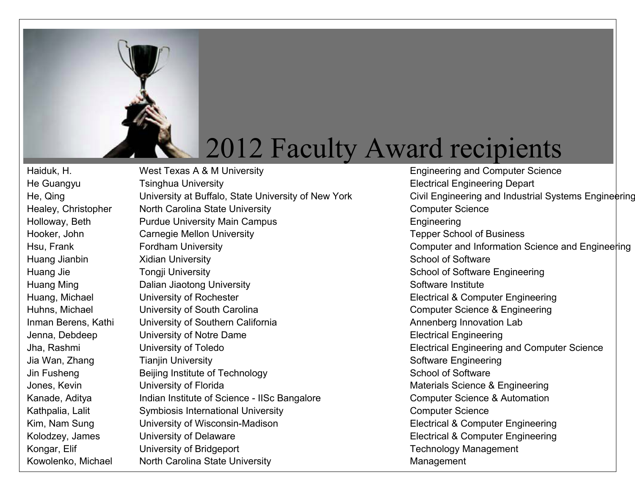

Kowolenko, Michael Morth Carolina State University Management

Haiduk, H. **Engineering and Computer Science** Haiduk, H. West Texas A & M University **Engineering and Computer Science** He Guangyu Tsinghua University **Electrical Engineering Depart** Healey, Christopher Morth Carolina State University Computer Science Holloway, Beth **Purdue University Main Campus Engineering** Engineering Hooker, John Carnegie Mellon University Carnegie Tepper School of Business Huang Jianbin School of Software Xidian University School of Software School of Software Huang Jie **Tongji University** School of Software Engineering Huang Ming **Example 20 Building** Dalian Jiaotong University **Software Institute** Software Institute Huang, Michael **Electrical & Computer Engineering** Electrical & Computer Engineering Huhns, Michael **Engineering** University of South Carolina Computer Science & Engineering Inman Berens, Kathi University of Southern California **Annenberg Innovation Lab** Jenna, Debdeep University of Notre Dame **Electrical Engineering** Jha, Rashmi **Electrical Engineering and Computer Science Electrical Engineering and Computer Science** Jia Wan, Zhang Tianjin University Software Engineering Jin Fusheng Beijing Institute of Technology School of Software Jones, Kevin **Exercicial Control Control Control Control Control Control Control Control Control Control Control Control Control Control Control Control Control Control Control Control Control Control Control Control Contr** Kanade, Aditya **Indian Institute of Science - IISc Bangalore** Computer Science & Automation Kathpalia, Lalit Symbiosis International University Computer Science Kim, Nam Sung Computer Suniversity of Wisconsin-Madison Electrical & Computer Engineering Kolodzey, James University of Delaware Electrical & Computer Engineering Kongar, Elif **Example 20 University of Bridgeport** Controller Construction Controller Technology Management

He, Qing University at Buffalo, State University of New York Civil Engineering and Industrial Systems Engineering Hsu, Frank Fordham University **Fordham University** Computer and Information Science and Engineering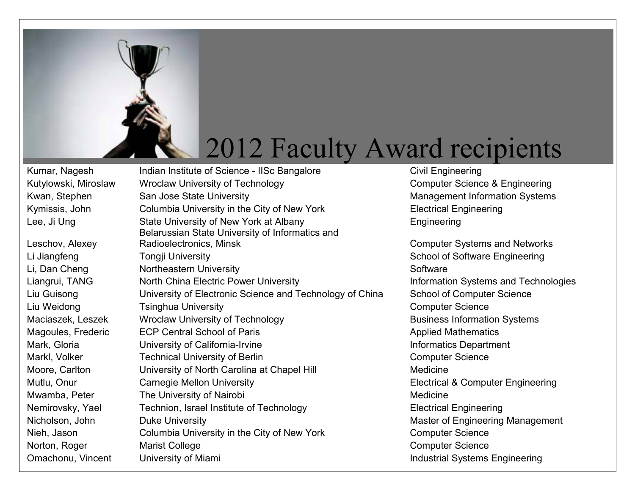

Leschov, Alexey

Kumar, Nagesh Indian Institute of Science - IISc Bangalore Civil Engineering Kutylowski, Miroslaw Wroclaw University of Technology Computer Science & Engineering Kwan, Stephen San Jose State University **Management Information Systems** Management Information Systems Kymissis, John Columbia University in the City of New York Electrical Engineering Lee, Ji Ung State University of New York at Albany Engineering Belarussian State University of Informatics and Radioelectronics, Minsk **Computer Systems and Networks** Li Jiangfeng Tongji University School of Software Engineering Li, Dan Cheng Northeastern University Northeastern Software Liangrui, TANG North China Electric Power University **Information Systems and Technologies** Liu Guisong University of Electronic Science and Technology of China School of Computer Science Liu Weidong **Tsinghua University Transference** Computer Science Maciaszek, Leszek Wroclaw University of Technology **Business Information Systems** Magoules, Frederic ECP Central School of Paris **Applied Mathematics** Applied Mathematics Mark, Gloria **Informatics Department** University of California-Irvine **Informatics Department** Markl, Volker **Technical University of Berlin** Computer Science Computer Science Moore, Carlton **University of North Carolina at Chapel Hill** Medicine Mutlu, Onur **Carnegie Mellon University Electrical & Computer Engineering** Mwamba, Peter The University of Nairobi **Musical Contract Contract Contract Contract Contract Contract Contract Contract Contract Contract Contract Contract Contract Contract Contract Contract Contract Contract Contract Co** Nemirovsky, Yael Technion, Israel Institute of Technology Electrical Engineering Nicholson, John Duke University **Master of Engineering Management** Master of Engineering Management Nieh, Jason Columbia University in the City of New York Computer Science Norton, Roger **Marist College** Computer Science Computer Science

Omachonu, Vincent University of Miami **Industrial Systems Engineering**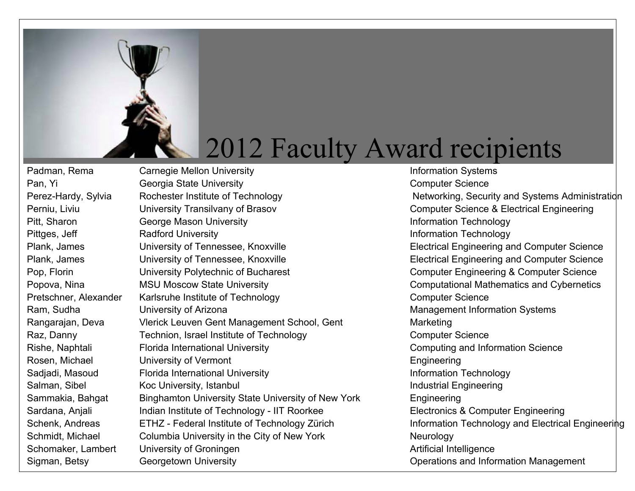

Padman, Rema Carnegie Mellon University **Information Systems** Information Systems Pan, Yi Georgia State University Computer Science Perez-Hardy, Sylvia Rochester Institute of Technology Networking, Security and Systems Administration Perniu, Liviu Computer Science & Electrical Engineering Perniu, Liviu Pitt, Sharon **George Mason University Information Technology** Pittges, Jeff **Radford University Information Technology** Plank, James **Electrical Engineering and Computer Science** Plank, James **Electrical Engineering and Computer Science** Plank, James **Electrical Engineering and Computer Science** Plank, James **Electrical Engineering and Computer Science** Pop, Florin **Example 20 University Polytechnic of Bucharest** Computer Engineering & Computer Science Popova, Nina **MSU Moscow State University** Computational Mathematics and Cybernetics Pretschner, Alexander Karlsruhe Institute of Technology Computer Science Ram, Sudha Christian University of Arizona Christian Management Information Systems Rangarajan, Deva Vlerick Leuven Gent Management School, Gent Marketing Raz, Danny **Technion, Israel Institute of Technology** Computer Science Rishe, Naphtali Florida International University Computing and Information Science Rosen, Michael **University of Vermont** Engineering Engineering Sadjadi, Masoud Florida International University **Information Technology** Salman, Sibel Koc University, Istanbul Industrial Engineering Sammakia, Bahgat Binghamton University State University of New York Engineering Sardana, Anjali Indian Institute of Technology - IIT Roorkee Electronics & Computer Engineering Schenk, Andreas ETHZ - Federal Institute of Technology Zürich Information Technology and Electrical Engineering Schmidt, Michael Columbia University in the City of New York Neurology Schomaker, Lambert University of Groningen and Artificial Intelligence

Sigman, Betsy Georgetown University Contract Contract Contract Contractions and Information Management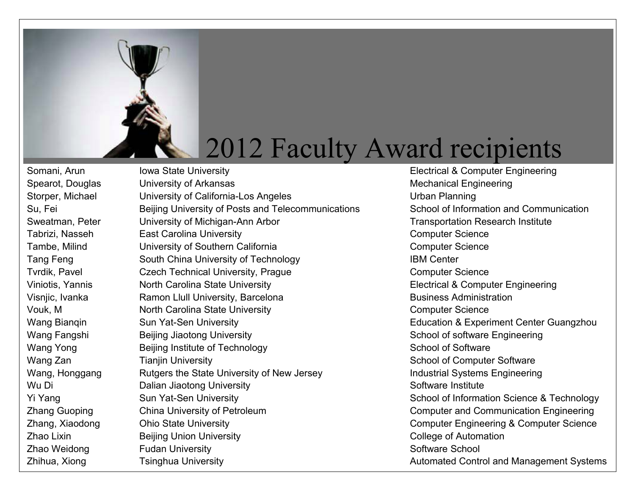

Somani, Arun Iowa State University **Electrical & Computer Engineering** Spearot, Douglas University of Arkansas Mechanical Engineering Storper, Michael **University of California-Los Angeles** University of California-Los Angeles Su, Fei Beijing University of Posts and Telecommunications School of Information and Communication Sweatman, Peter **Exercise University of Michigan-Ann Arbor** Metal Architecture Transportation Research Institute Tabrizi, Nasseh East Carolina University **East Carolina University** Computer Science Tambe, Milind **University of Southern California** Computer Science Computer Science Tang Feng South China University of Technology **IBM Center** Tvrdik, Pavel **Czech Technical University, Prague** Computer Science Computer Science Viniotis, Yannis North Carolina State University **North Carolina State University** Electrical & Computer Engineering Visnjic, Ivanka Ramon Llull University, Barcelona Business Administration Vouk, M North Carolina State University Computer Science Wang Bianqin Sun Yat-Sen University **Education & Experiment Center Guangzhou** Wang Fangshi Beijing Jiaotong University School of software Engineering Wang Yong **Beijing Institute of Technology School of Software** School of Software Wang Zan Tianjin University School of Computer Software Wang, Honggang Rutgers the State University of New Jersey **Industrial Systems Engineering** Wu Di **Software Institute** Dalian Jiaotong University **Software Institute** Software Institute Yi Yang Sun Yat-Sen University Sun Yat-Sen University School of Information Science & Technology Zhang Guoping China University of Petroleum Computer and Communication Engineering Zhang, Xiaodong Ohio State University Computer Engineering & Computer Science Zhao Lixin **Example 3** Beijing Union University **College of Automation** College of Automation Zhao Weidong **Fudan University** School Software School Software School

Zhihua, Xiong Tsinghua University **Transference Automated Control and Management Systems**